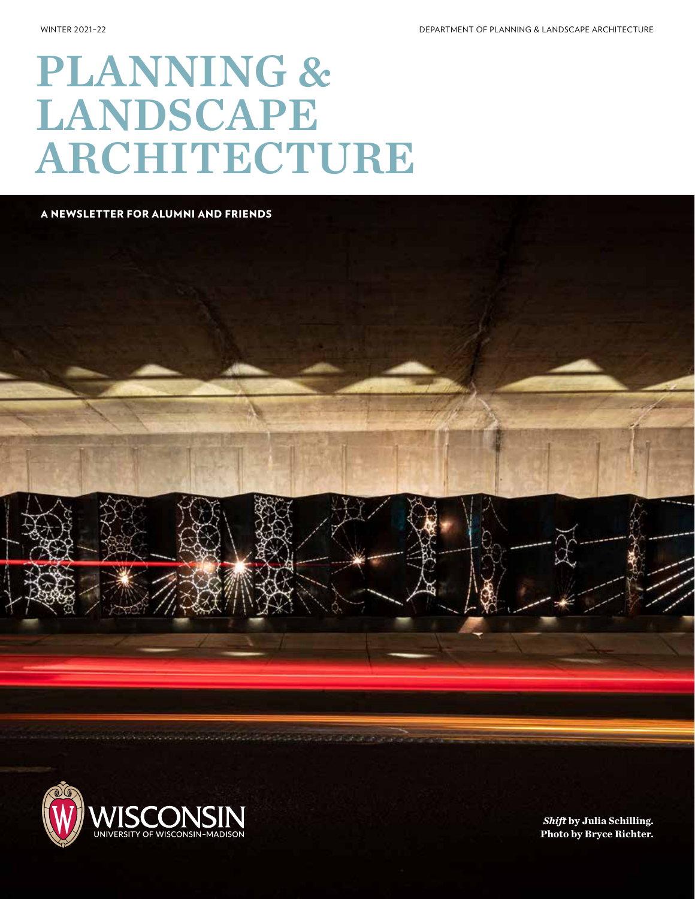# PLANNING & LANDSCAPE ARCHITECTURE

A NEWSLETTER FOR ALUMNI AND FRIENDS





*Shift* **by Julia Schilling. Photo by Bryce Richter.**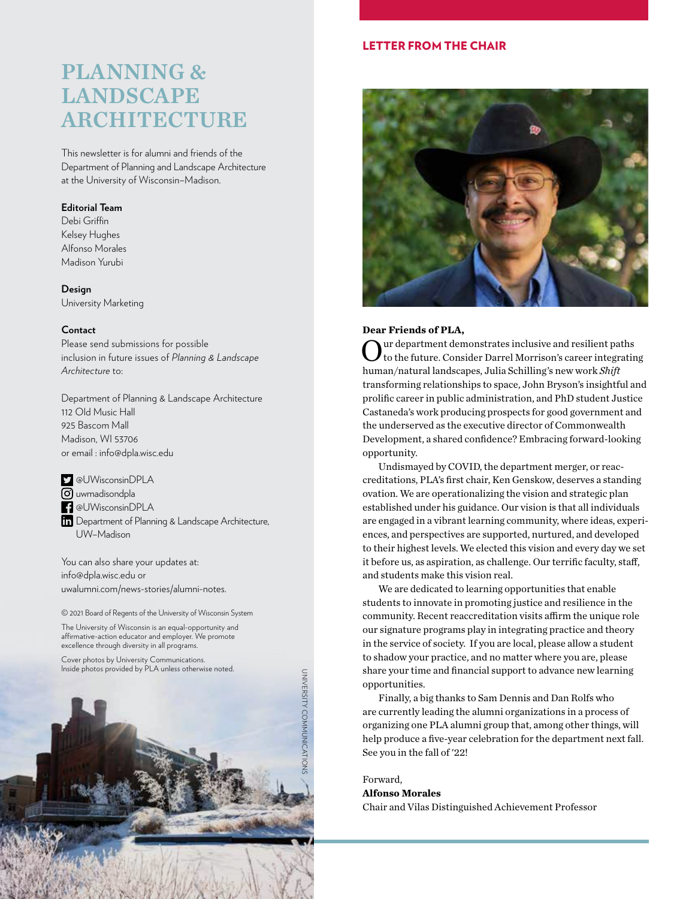### PLANNING & LANDSCAPE ARCHITECTURE

This newsletter is for alumni and friends of the Department of Planning and Landscape Architecture at the University of Wisconsin–Madison.

#### **Editorial Team**

Debi Griffin Kelsey Hughes Alfonso Morales Madison Yurubi

**Design** University Marketing

#### **Contact**

Please send submissions for possible inclusion in future issues of *Planning & Landscape Architecture* to:

Department of Planning & Landscape Architecture 112 Old Music Hall 925 Bascom Mall Madison, WI 53706 or email : info@dpla.wisc.edu

@UWisconsinDPLA

**6** uwmadisondpla @UWisconsinDPLA **Th** Department of Planning & Landscape Architecture, UW–Madison

You can also share your updates at: info@dpla.wisc.edu or uwalumni.com/news-stories/alumni-notes.

© 2021 Board of Regents of the University of Wisconsin System

The University of Wisconsin is an equal-opportunity and affirmative-action educator and employer. We promote excellence through diversity in all programs.

Cover photos by University Communications. Inside photos provided by PLA unless otherwise noted.



#### LETTER FROM THE CHAIR



#### **Dear Friends of PLA,**

ur department demonstrates inclusive and resilient paths to the future. Consider Darrel Morrison's career integrating human/natural landscapes, Julia Schilling's new work *Shift* transforming relationships to space, John Bryson's insightful and prolific career in public administration, and PhD student Justice Castaneda's work producing prospects for good government and the underserved as the executive director of Commonwealth Development, a shared confidence? Embracing forward-looking opportunity.

Undismayed by COVID, the department merger, or reaccreditations, PLA's first chair, Ken Genskow, deserves a standing ovation. We are operationalizing the vision and strategic plan established under his guidance. Our vision is that all individuals are engaged in a vibrant learning community, where ideas, experiences, and perspectives are supported, nurtured, and developed to their highest levels. We elected this vision and every day we set it before us, as aspiration, as challenge. Our terrific faculty, staff, and students make this vision real.

We are dedicated to learning opportunities that enable students to innovate in promoting justice and resilience in the community. Recent reaccreditation visits affirm the unique role our signature programs play in integrating practice and theory in the service of society. If you are local, please allow a student to shadow your practice, and no matter where you are, please share your time and financial support to advance new learning opportunities.

Finally, a big thanks to Sam Dennis and Dan Rolfs who are currently leading the alumni organizations in a process of organizing one PLA alumni group that, among other things, will help produce a five-year celebration for the department next fall. See you in the fall of '22!

Forward,

#### **Alfonso Morales**

Chair and Vilas Distinguished Achievement Professor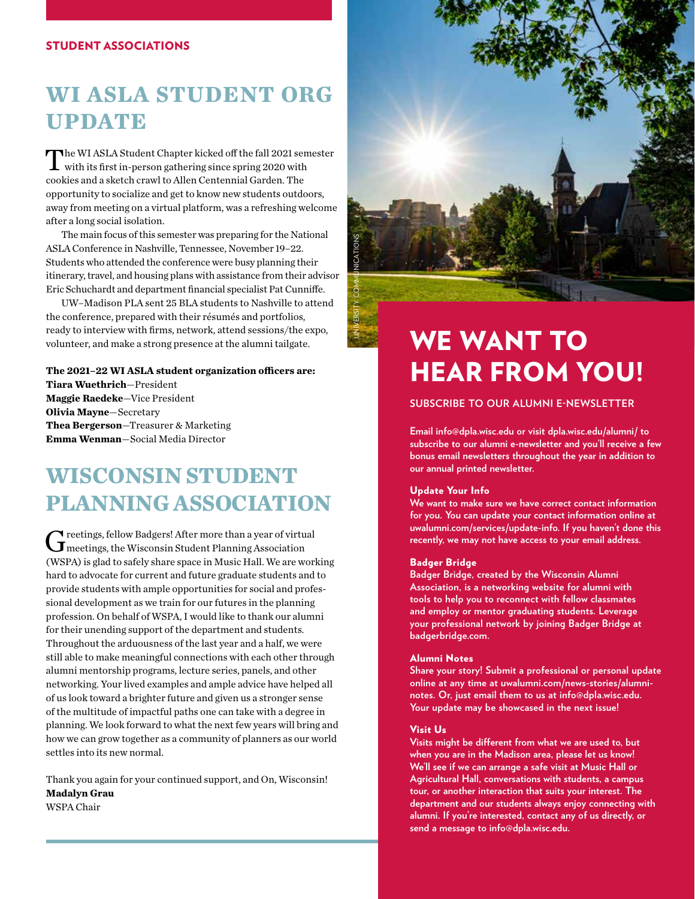#### STUDENT ASSOCIATIONS

### **WI ASLA STUDENT ORG UPDATE**

The WI ASLA Student Chapter kicked off the fall 2021 semester with its first in-person gathering since spring 2020 with cookies and a sketch crawl to Allen Centennial Garden. The opportunity to socialize and get to know new students outdoors, away from meeting on a virtual platform, was a refreshing welcome after a long social isolation.

The main focus of this semester was preparing for the National ASLA Conference in Nashville, Tennessee, November 19–22. Students who attended the conference were busy planning their itinerary, travel, and housing plans with assistance from their advisor Eric Schuchardt and department financial specialist Pat Cunniffe.

UW–Madison PLA sent 25 BLA students to Nashville to attend the conference, prepared with their résumés and portfolios, ready to interview with firms, network, attend sessions/the expo, volunteer, and make a strong presence at the alumni tailgate.

#### **The 2021–22 WI ASLA student organization officers are:**

**Tiara Wuethrich**—President **Maggie Raedeke**—Vice President **Olivia Mayne**—Secretary **Thea Bergerson**—Treasurer & Marketing **Emma Wenman**—Social Media Director

### **WISCONSIN STUDENT PLANNING ASSOCIATION**

 $G$ reetings, fellow Badgers! After more than a year of virtual meetings, the Wisconsin Student Planning Association (WSPA) is glad to safely share space in Music Hall. We are working hard to advocate for current and future graduate students and to provide students with ample opportunities for social and professional development as we train for our futures in the planning profession. On behalf of WSPA, I would like to thank our alumni for their unending support of the department and students. Throughout the arduousness of the last year and a half, we were still able to make meaningful connections with each other through alumni mentorship programs, lecture series, panels, and other networking. Your lived examples and ample advice have helped all of us look toward a brighter future and given us a stronger sense of the multitude of impactful paths one can take with a degree in planning. We look forward to what the next few years will bring and how we can grow together as a community of planners as our world settles into its new normal.

Thank you again for your continued support, and On, Wisconsin! **Madalyn Grau** WSPA Chair



# WE WANT TO HEAR FROM YOU!

#### **SUBSCRIBE TO OUR ALUMNI E-NEWSLETTER**

**Email info@dpla.wisc.edu or visit dpla.wisc.edu/alumni/ to subscribe to our alumni e-newsletter and you'll receive a few bonus email newsletters throughout the year in addition to our annual printed newsletter.**

#### Update Your Info

**We want to make sure we have correct contact information for you. You can update your contact information online at uwalumni.com/services/update-info. If you haven't done this recently, we may not have access to your email address.**

#### Badger Bridge

**Badger Bridge, created by the Wisconsin Alumni Association, is a networking website for alumni with tools to help you to reconnect with fellow classmates and employ or mentor graduating students. Leverage your professional network by joining Badger Bridge at badgerbridge.com.**

#### Alumni Notes

**Share your story! Submit a professional or personal update online at any time at uwalumni.com/news-stories/alumninotes. Or, just email them to us at info@dpla.wisc.edu. Your update may be showcased in the next issue!**

#### Visit Us

**Visits might be different from what we are used to, but when you are in the Madison area, please let us know! We'll see if we can arrange a safe visit at Music Hall or Agricultural Hall, conversations with students, a campus tour, or another interaction that suits your interest. The department and our students always enjoy connecting with alumni. If you're interested, contact any of us directly, or send a message to info@dpla.wisc.edu.**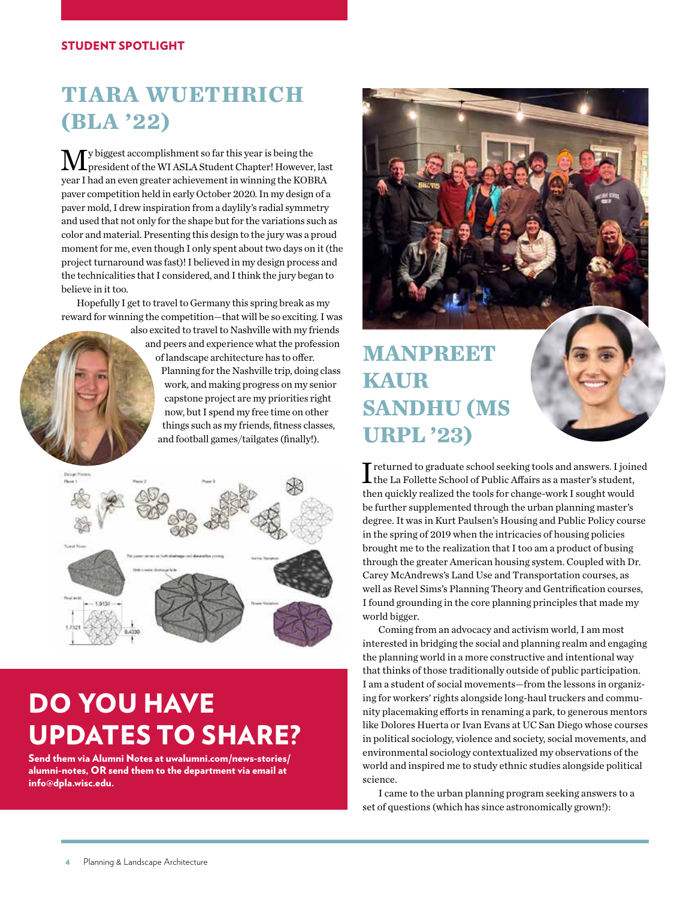#### STUDENT SPOTLIGHT

### **TIARA WUETHRICH (BLA '22)**

 $\mathbf{M}$ y biggest accomplishment so far this year is being the president of the WI ASLA Student Chapter! However, last year I had an even greater achievement in winning the KOBRA paver competition held in early October 2020. In my design of a paver mold, I drew inspiration from a daylily's radial symmetry and used that not only for the shape but for the variations such as color and material. Presenting this design to the jury was a proud moment for me, even though I only spent about two days on it (the project turnaround was fast)! I believed in my design process and the technicalities that I considered, and I think the jury began to believe in it too.

Hopefully I get to travel to Germany this spring break as my reward for winning the competition—that will be so exciting. I was

also excited to travel to Nashville with my friends and peers and experience what the profession of landscape architecture has to offer. Planning for the Nashville trip, doing class work, and making progress on my senior capstone project are my priorities right now, but I spend my free time on other things such as my friends, fitness classes, and football games/tailgates (finally!).



# DO YOU HAVE UPDATES TO SHARE?

Send them via Alumni Notes at uwalumni.com/news-stories/ alumni-notes, OR send them to the department via email at info@dpla.wisc.edu.



### **MANPREET KAUR SANDHU (MS URPL '23)**

I returned to graduate school seeking tools and answers. I joined the La Follette School of Public Affairs as a master's student, then quickly realized the tools for change-work I sought would be further supplemented through the urban planning master's degree. It was in Kurt Paulsen's Housing and Public Policy course in the spring of 2019 when the intricacies of housing policies brought me to the realization that I too am a product of busing through the greater American housing system. Coupled with Dr. Carey McAndrews's Land Use and Transportation courses, as well as Revel Sims's Planning Theory and Gentrification courses, I found grounding in the core planning principles that made my world bigger.

Coming from an advocacy and activism world, I am most interested in bridging the social and planning realm and engaging the planning world in a more constructive and intentional way that thinks of those traditionally outside of public participation. I am a student of social movements—from the lessons in organizing for workers' rights alongside long-haul truckers and community placemaking efforts in renaming a park, to generous mentors like Dolores Huerta or Ivan Evans at UC San Diego whose courses in political sociology, violence and society, social movements, and environmental sociology contextualized my observations of the world and inspired me to study ethnic studies alongside political science.

I came to the urban planning program seeking answers to a set of questions (which has since astronomically grown!):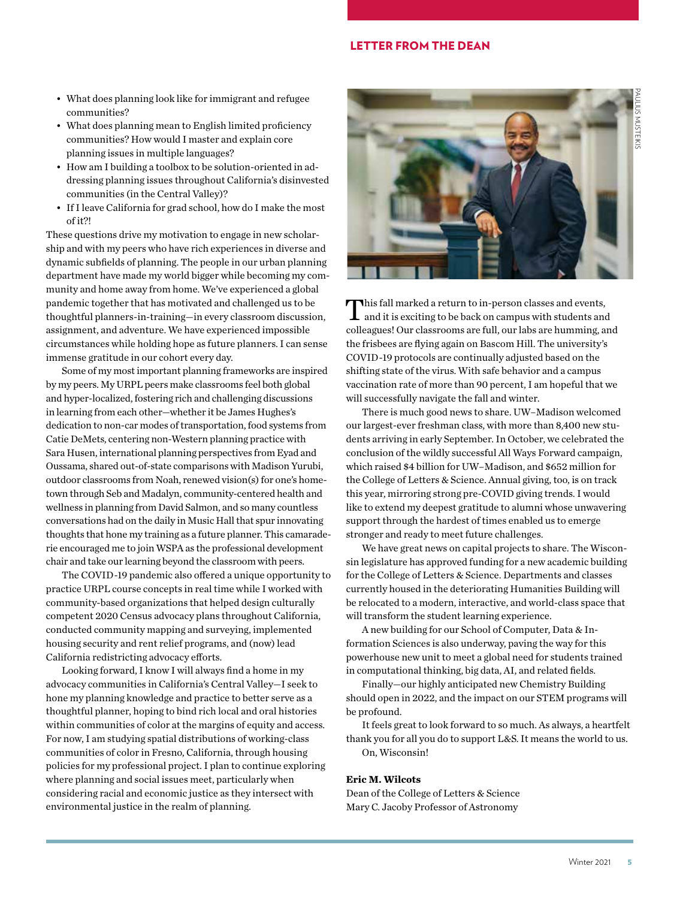#### LETTER FROM THE DEAN

- What does planning look like for immigrant and refugee communities?
- What does planning mean to English limited proficiency communities? How would I master and explain core planning issues in multiple languages?
- How am I building a toolbox to be solution-oriented in addressing planning issues throughout California's disinvested communities (in the Central Valley)?
- If I leave California for grad school, how do I make the most of it?!

These questions drive my motivation to engage in new scholarship and with my peers who have rich experiences in diverse and dynamic subfields of planning. The people in our urban planning department have made my world bigger while becoming my community and home away from home. We've experienced a global pandemic together that has motivated and challenged us to be thoughtful planners-in-training—in every classroom discussion, assignment, and adventure. We have experienced impossible circumstances while holding hope as future planners. I can sense immense gratitude in our cohort every day.

Some of my most important planning frameworks are inspired by my peers. My URPL peers make classrooms feel both global and hyper-localized, fostering rich and challenging discussions in learning from each other—whether it be James Hughes's dedication to non-car modes of transportation, food systems from Catie DeMets, centering non-Western planning practice with Sara Husen, international planning perspectives from Eyad and Oussama, shared out-of-state comparisons with Madison Yurubi, outdoor classrooms from Noah, renewed vision(s) for one's hometown through Seb and Madalyn, community-centered health and wellness in planning from David Salmon, and so many countless conversations had on the daily in Music Hall that spur innovating thoughts that hone my training as a future planner. This camaraderie encouraged me to join WSPA as the professional development chair and take our learning beyond the classroom with peers.

The COVID-19 pandemic also offered a unique opportunity to practice URPL course concepts in real time while I worked with community-based organizations that helped design culturally competent 2020 Census advocacy plans throughout California, conducted community mapping and surveying, implemented housing security and rent relief programs, and (now) lead California redistricting advocacy efforts.

Looking forward, I know I will always find a home in my advocacy communities in California's Central Valley—I seek to hone my planning knowledge and practice to better serve as a thoughtful planner, hoping to bind rich local and oral histories within communities of color at the margins of equity and access. For now, I am studying spatial distributions of working-class communities of color in Fresno, California, through housing policies for my professional project. I plan to continue exploring where planning and social issues meet, particularly when considering racial and economic justice as they intersect with environmental justice in the realm of planning.



This fall marked a return to in-person classes and events,<br>and it is exciting to be back on campus with students and colleagues! Our classrooms are full, our labs are humming, and the frisbees are flying again on Bascom Hill. The university's COVID-19 protocols are continually adjusted based on the shifting state of the virus. With safe behavior and a campus vaccination rate of more than 90 percent, I am hopeful that we will successfully navigate the fall and winter.

There is much good news to share. UW–Madison welcomed our largest-ever freshman class, with more than 8,400 new students arriving in early September. In October, we celebrated the conclusion of the wildly successful All Ways Forward campaign, which raised \$4 billion for UW–Madison, and \$652 million for the College of Letters & Science. Annual giving, too, is on track this year, mirroring strong pre-COVID giving trends. I would like to extend my deepest gratitude to alumni whose unwavering support through the hardest of times enabled us to emerge stronger and ready to meet future challenges.

We have great news on capital projects to share. The Wisconsin legislature has approved funding for a new academic building for the College of Letters & Science. Departments and classes currently housed in the deteriorating Humanities Building will be relocated to a modern, interactive, and world-class space that will transform the student learning experience.

A new building for our School of Computer, Data & Information Sciences is also underway, paving the way for this powerhouse new unit to meet a global need for students trained in computational thinking, big data, AI, and related fields.

Finally—our highly anticipated new Chemistry Building should open in 2022, and the impact on our STEM programs will be profound.

It feels great to look forward to so much. As always, a heartfelt thank you for all you do to support L&S. It means the world to us. On, Wisconsin!

#### **Eric M. Wilcots**

Dean of the College of Letters & Science Mary C. Jacoby Professor of Astronomy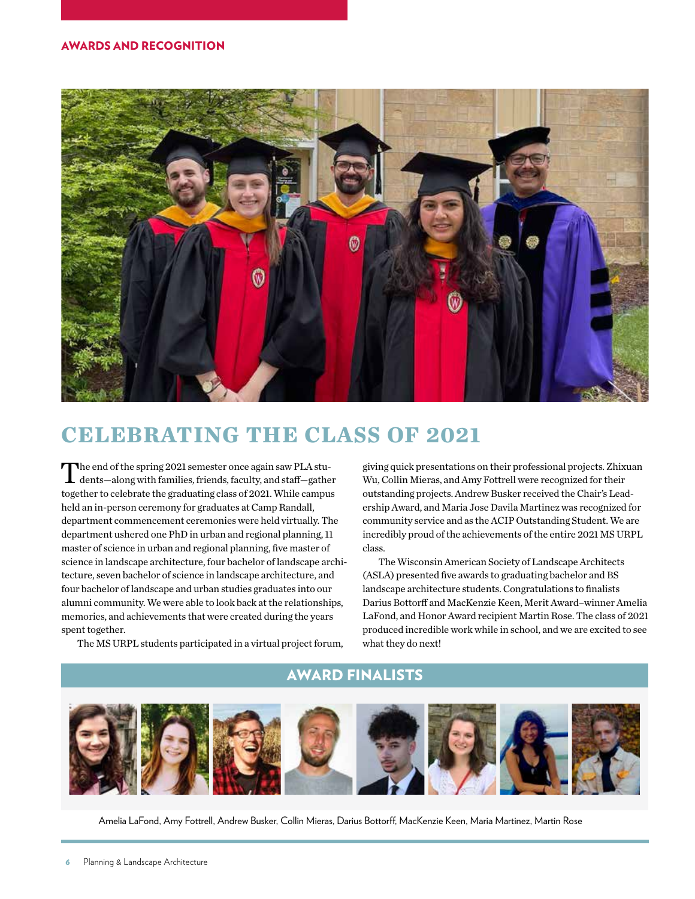

### **CELEBRATING THE CLASS OF 2021**

The end of the spring 2021 semester once again saw PLA students—along with families, friends, faculty, and staff—gather together to celebrate the graduating class of 2021. While campus held an in-person ceremony for graduates at Camp Randall, department commencement ceremonies were held virtually. The department ushered one PhD in urban and regional planning, 11 master of science in urban and regional planning, five master of science in landscape architecture, four bachelor of landscape architecture, seven bachelor of science in landscape architecture, and four bachelor of landscape and urban studies graduates into our alumni community. We were able to look back at the relationships, memories, and achievements that were created during the years spent together.

giving quick presentations on their professional projects. Zhixuan Wu, Collin Mieras, and Amy Fottrell were recognized for their outstanding projects. Andrew Busker received the Chair's Leadership Award, and Maria Jose Davila Martinez was recognized for community service and as the ACIP Outstanding Student. We are incredibly proud of the achievements of the entire 2021 MS URPL class.

The Wisconsin American Society of Landscape Architects (ASLA) presented five awards to graduating bachelor and BS landscape architecture students. Congratulations to finalists Darius Bottorff and MacKenzie Keen, Merit Award–winner Amelia LaFond, and Honor Award recipient Martin Rose. The class of 2021 produced incredible work while in school, and we are excited to see what they do next!

The MS URPL students participated in a virtual project forum,

### AWARD FINALISTS



Amelia LaFond, Amy Fottrell, Andrew Busker, Collin Mieras, Darius Bottorff, MacKenzie Keen, Maria Martinez, Martin Rose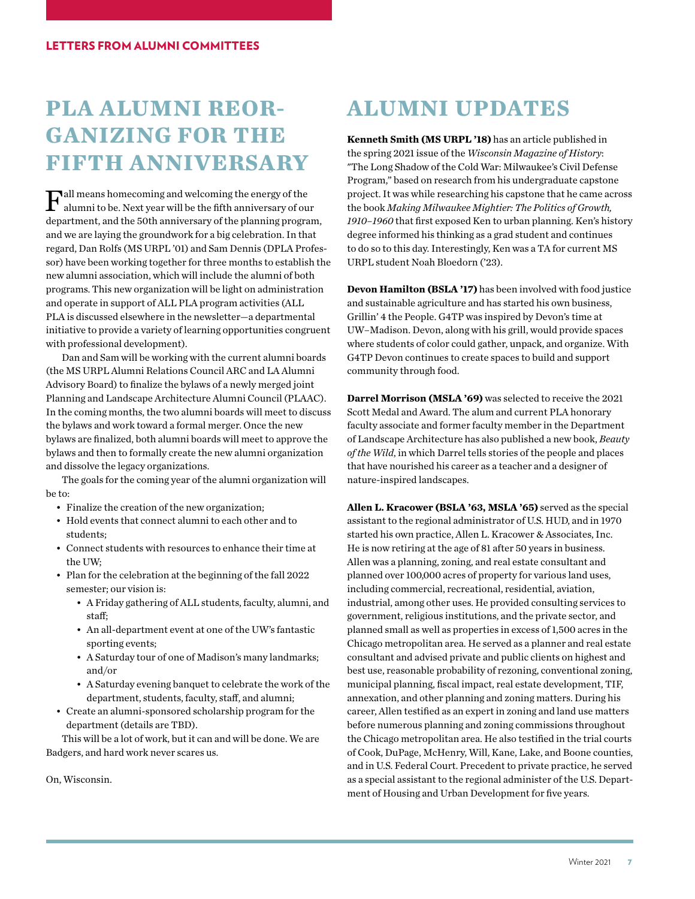### **PLA ALUMNI REOR-GANIZING FOR THE FIFTH ANNIVERSARY**

 $\Gamma_\text{all}$  means homecoming and welcoming the energy of the alumni to be. Next year will be the fifth anniversary of our department, and the 50th anniversary of the planning program, and we are laying the groundwork for a big celebration. In that regard, Dan Rolfs (MS URPL '01) and Sam Dennis (DPLA Professor) have been working together for three months to establish the new alumni association, which will include the alumni of both programs. This new organization will be light on administration and operate in support of ALL PLA program activities (ALL PLA is discussed elsewhere in the newsletter—a departmental initiative to provide a variety of learning opportunities congruent with professional development).

Dan and Sam will be working with the current alumni boards (the MS URPL Alumni Relations Council ARC and LA Alumni Advisory Board) to finalize the bylaws of a newly merged joint Planning and Landscape Architecture Alumni Council (PLAAC). In the coming months, the two alumni boards will meet to discuss the bylaws and work toward a formal merger. Once the new bylaws are finalized, both alumni boards will meet to approve the bylaws and then to formally create the new alumni organization and dissolve the legacy organizations.

The goals for the coming year of the alumni organization will be to:

- Finalize the creation of the new organization;
- Hold events that connect alumni to each other and to students;
- Connect students with resources to enhance their time at the UW;
- Plan for the celebration at the beginning of the fall 2022 semester; our vision is:
	- A Friday gathering of ALL students, faculty, alumni, and staff;
	- An all-department event at one of the UW's fantastic sporting events;
	- A Saturday tour of one of Madison's many landmarks; and/or
	- A Saturday evening banquet to celebrate the work of the department, students, faculty, staff, and alumni;
- Create an alumni-sponsored scholarship program for the department (details are TBD).

This will be a lot of work, but it can and will be done. We are Badgers, and hard work never scares us.

On, Wisconsin.

### **ALUMNI UPDATES**

**Kenneth Smith (MS URPL '18)** has an article published in the spring 2021 issue of the *Wisconsin Magazine of History*: "The Long Shadow of the Cold War: Milwaukee's Civil Defense Program," based on research from his undergraduate capstone project. It was while researching his capstone that he came across the book *Making Milwaukee Mightier: The Politics of Growth, 1910–1960* that first exposed Ken to urban planning. Ken's history degree informed his thinking as a grad student and continues to do so to this day. Interestingly, Ken was a TA for current MS URPL student Noah Bloedorn ('23).

**Devon Hamilton (BSLA '17)** has been involved with food justice and sustainable agriculture and has started his own business, Grillin' 4 the People. G4TP was inspired by Devon's time at UW–Madison. Devon, along with his grill, would provide spaces where students of color could gather, unpack, and organize. With G4TP Devon continues to create spaces to build and support community through food.

**Darrel Morrison (MSLA '69)** was selected to receive the 2021 Scott Medal and Award. The alum and current PLA honorary faculty associate and former faculty member in the Department of Landscape Architecture has also published a new book, *Beauty of the Wild*, in which Darrel tells stories of the people and places that have nourished his career as a teacher and a designer of nature-inspired landscapes.

**Allen L. Kracower (BSLA '63, MSLA '65)** served as the special assistant to the regional administrator of U.S. HUD, and in 1970 started his own practice, Allen L. Kracower & Associates, Inc. He is now retiring at the age of 81 after 50 years in business. Allen was a planning, zoning, and real estate consultant and planned over 100,000 acres of property for various land uses, including commercial, recreational, residential, aviation, industrial, among other uses. He provided consulting services to government, religious institutions, and the private sector, and planned small as well as properties in excess of 1,500 acres in the Chicago metropolitan area. He served as a planner and real estate consultant and advised private and public clients on highest and best use, reasonable probability of rezoning, conventional zoning, municipal planning, fiscal impact, real estate development, TIF, annexation, and other planning and zoning matters. During his career, Allen testified as an expert in zoning and land use matters before numerous planning and zoning commissions throughout the Chicago metropolitan area. He also testified in the trial courts of Cook, DuPage, McHenry, Will, Kane, Lake, and Boone counties, and in U.S. Federal Court. Precedent to private practice, he served as a special assistant to the regional administer of the U.S. Department of Housing and Urban Development for five years.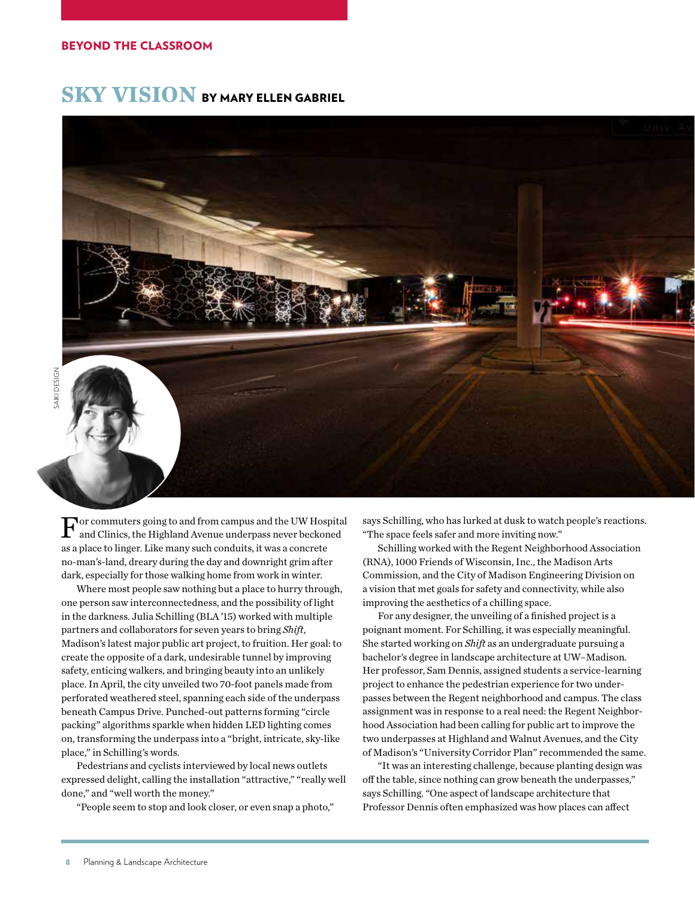### **SKY VISION** BY MARY ELLEN GABRIEL



 $\mathbf F$  and Clinics, the Highland Avenue underpass never beckoned and Clinics, the Highland Avenue underpass never beckoned as a place to linger. Like many such conduits, it was a concrete no-man's-land, dreary during the day and downright grim after dark, especially for those walking home from work in winter.

Where most people saw nothing but a place to hurry through, one person saw interconnectedness, and the possibility of light in the darkness. Julia Schilling (BLA '15) worked with multiple partners and collaborators for seven years to bring *Shift*, Madison's latest major public art project, to fruition. Her goal: to create the opposite of a dark, undesirable tunnel by improving safety, enticing walkers, and bringing beauty into an unlikely place. In April, the city unveiled two 70-foot panels made from perforated weathered steel, spanning each side of the underpass beneath Campus Drive. Punched-out patterns forming "circle packing" algorithms sparkle when hidden LED lighting comes on, transforming the underpass into a "bright, intricate, sky-like place," in Schilling's words.

Pedestrians and cyclists interviewed by local news outlets expressed delight, calling the installation "attractive," "really well done," and "well worth the money."

"People seem to stop and look closer, or even snap a photo,"

says Schilling, who has lurked at dusk to watch people's reactions. "The space feels safer and more inviting now."

Schilling worked with the Regent Neighborhood Association (RNA), 1000 Friends of Wisconsin, Inc., the Madison Arts Commission, and the City of Madison Engineering Division on a vision that met goals for safety and connectivity, while also improving the aesthetics of a chilling space.

For any designer, the unveiling of a finished project is a poignant moment. For Schilling, it was especially meaningful. She started working on *Shift* as an undergraduate pursuing a bachelor's degree in landscape architecture at UW–Madison. Her professor, Sam Dennis, assigned students a service-learning project to enhance the pedestrian experience for two underpasses between the Regent neighborhood and campus. The class assignment was in response to a real need: the Regent Neighborhood Association had been calling for public art to improve the two underpasses at Highland and Walnut Avenues, and the City of Madison's "University Corridor Plan" recommended the same.

"It was an interesting challenge, because planting design was off the table, since nothing can grow beneath the underpasses," says Schilling. "One aspect of landscape architecture that Professor Dennis often emphasized was how places can affect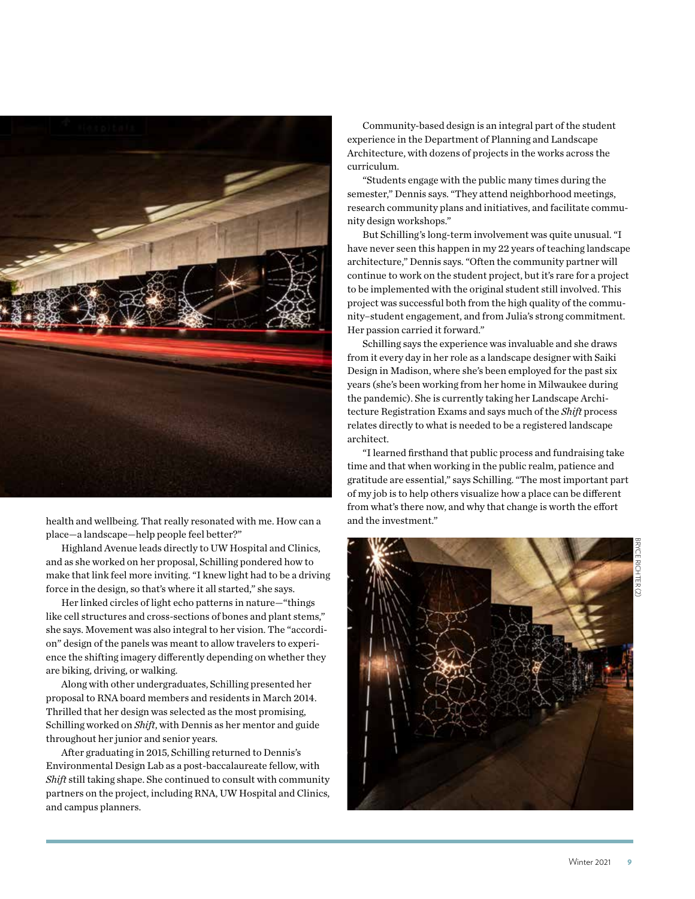

health and wellbeing. That really resonated with me. How can a place—a landscape—help people feel better?"

Highland Avenue leads directly to UW Hospital and Clinics, and as she worked on her proposal, Schilling pondered how to make that link feel more inviting. "I knew light had to be a driving force in the design, so that's where it all started," she says.

Her linked circles of light echo patterns in nature—"things like cell structures and cross-sections of bones and plant stems," she says. Movement was also integral to her vision. The "accordion" design of the panels was meant to allow travelers to experience the shifting imagery differently depending on whether they are biking, driving, or walking.

Along with other undergraduates, Schilling presented her proposal to RNA board members and residents in March 2014. Thrilled that her design was selected as the most promising, Schilling worked on *Shift*, with Dennis as her mentor and guide throughout her junior and senior years.

After graduating in 2015, Schilling returned to Dennis's Environmental Design Lab as a post-baccalaureate fellow, with *Shift* still taking shape. She continued to consult with community partners on the project, including RNA, UW Hospital and Clinics, and campus planners.

Community-based design is an integral part of the student experience in the Department of Planning and Landscape Architecture, with dozens of projects in the works across the curriculum.

"Students engage with the public many times during the semester," Dennis says. "They attend neighborhood meetings, research community plans and initiatives, and facilitate community design workshops."

But Schilling's long-term involvement was quite unusual. "I have never seen this happen in my 22 years of teaching landscape architecture," Dennis says. "Often the community partner will continue to work on the student project, but it's rare for a project to be implemented with the original student still involved. This project was successful both from the high quality of the community–student engagement, and from Julia's strong commitment. Her passion carried it forward."

Schilling says the experience was invaluable and she draws from it every day in her role as a landscape designer with Saiki Design in Madison, where she's been employed for the past six years (she's been working from her home in Milwaukee during the pandemic). She is currently taking her Landscape Architecture Registration Exams and says much of the *Shift* process relates directly to what is needed to be a registered landscape architect.

"I learned firsthand that public process and fundraising take time and that when working in the public realm, patience and gratitude are essential," says Schilling. "The most important part of my job is to help others visualize how a place can be different from what's there now, and why that change is worth the effort and the investment."

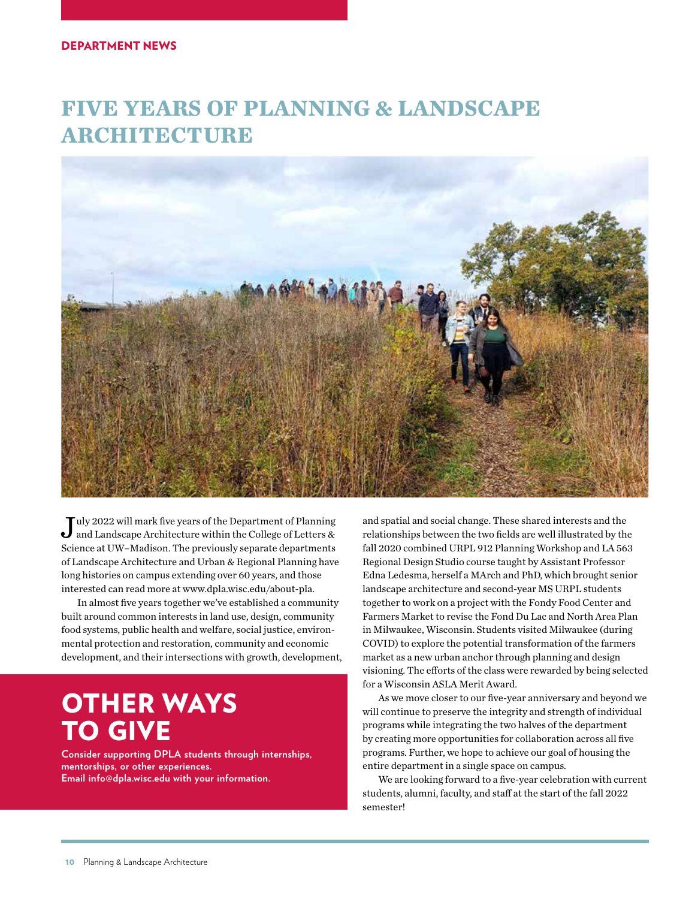### **FIVE YEARS OF PLANNING & LANDSCAPE ARCHITECTURE**



July 2022 will mark five years of the Department of Planning and Landscape Architecture within the College of Letters & Science at UW–Madison. The previously separate departments of Landscape Architecture and Urban & Regional Planning have long histories on campus extending over 60 years, and those interested can read more at www.dpla.wisc.edu/about-pla.

In almost five years together we've established a community built around common interests in land use, design, community food systems, public health and welfare, social justice, environmental protection and restoration, community and economic development, and their intersections with growth, development,

# OTHER WAYS TO GIVE

**Consider supporting DPLA students through internships, mentorships, or other experiences. Email info@dpla.wisc.edu with your information.**

and spatial and social change. These shared interests and the relationships between the two fields are well illustrated by the fall 2020 combined URPL 912 Planning Workshop and LA 563 Regional Design Studio course taught by Assistant Professor Edna Ledesma, herself a MArch and PhD, which brought senior landscape architecture and second-year MS URPL students together to work on a project with the Fondy Food Center and Farmers Market to revise the Fond Du Lac and North Area Plan in Milwaukee, Wisconsin. Students visited Milwaukee (during COVID) to explore the potential transformation of the farmers market as a new urban anchor through planning and design visioning. The efforts of the class were rewarded by being selected for a Wisconsin ASLA Merit Award.

As we move closer to our five-year anniversary and beyond we will continue to preserve the integrity and strength of individual programs while integrating the two halves of the department by creating more opportunities for collaboration across all five programs. Further, we hope to achieve our goal of housing the entire department in a single space on campus.

We are looking forward to a five-year celebration with current students, alumni, faculty, and staff at the start of the fall 2022 semester!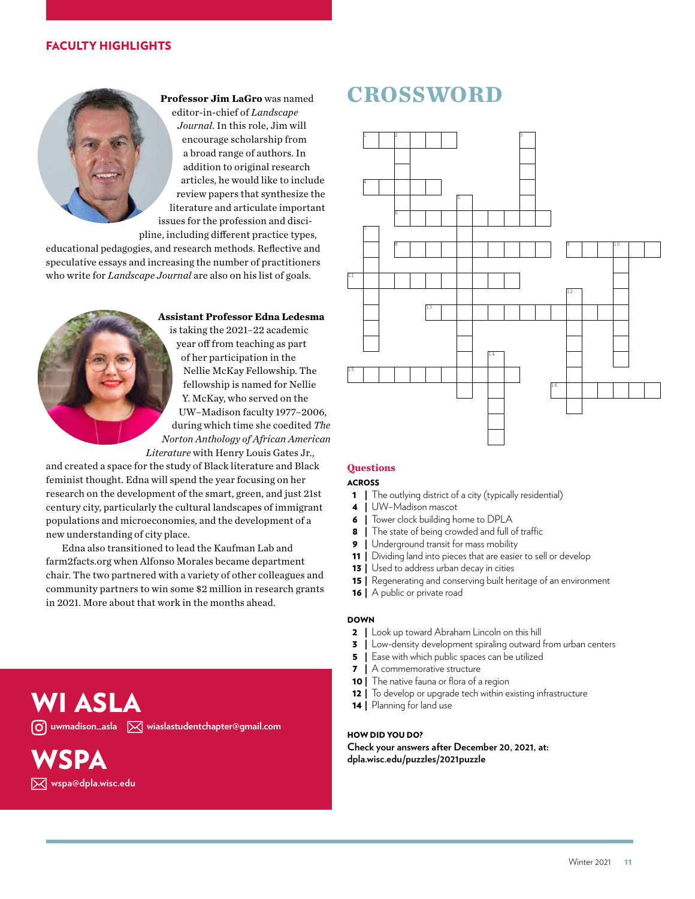#### FACULTY HIGHLIGHTS



**Professor Jim LaGro** was named editor-in-chief of *Landscape Journal*. In this role, Jim will encourage scholarship from a broad range of authors. In addition to original research articles, he would like to include review papers that synthesize the literature and articulate important issues for the profession and disci-

pline, including different practice types, educational pedagogies, and research methods. Reflective and speculative essays and increasing the number of practitioners who write for *Landscape Journal* are also on his list of goals.



**Assistant Professor Edna Ledesma**

is taking the 2021–22 academic year off from teaching as part of her participation in the Nellie McKay Fellowship. The fellowship is named for Nellie Y. McKay, who served on the UW–Madison faculty 1977–2006, during which time she coedited *The Norton Anthology of African American Literature* with Henry Louis Gates Jr.,

and created a space for the study of Black literature and Black feminist thought. Edna will spend the year focusing on her research on the development of the smart, green, and just 21st century city, particularly the cultural landscapes of immigrant populations and microeconomies, and the development of a new understanding of city place.

Edna also transitioned to lead the Kaufman Lab and farm2facts.org when Alfonso Morales became department chair. The two partnered with a variety of other colleagues and community partners to win some \$2 million in research grants in 2021. More about that work in the months ahead.

### WI ASLA *O* uwmadison\_asla  $\boxtimes$  wiaslastudentchapter@gmail.com

# **VSPA**

 **wspa@dpla.wisc.edu**

### **CROSSWORD**



#### **Questions**

#### ACROSS

- 1 | The outlying district of a city (typically residential)
- 4 | UW–Madison mascot
- 6 | Tower clock building home to DPLA
- 8 | The state of being crowded and full of traffic
- 9 | Underground transit for mass mobility
- 11 | Dividing land into pieces that are easier to sell or develop
- **13** | Used to address urban decay in cities
- 15 | Regenerating and conserving built heritage of an environment
- 16 | A public or private road

#### DOWN

- 2 | Look up toward Abraham Lincoln on this hill
- **3** | Low-density development spiraling outward from urban centers
- **5** | Ease with which public spaces can be utilized
- 7 | A commemorative structure
- 10 | The native fauna or flora of a region
- 12 | To develop or upgrade tech within existing infrastructure
- 14 | Planning for land use

#### HOW DID YOU DO?

**Check your answers after December 20, 2021, at: dpla.wisc.edu/puzzles/2021puzzle**